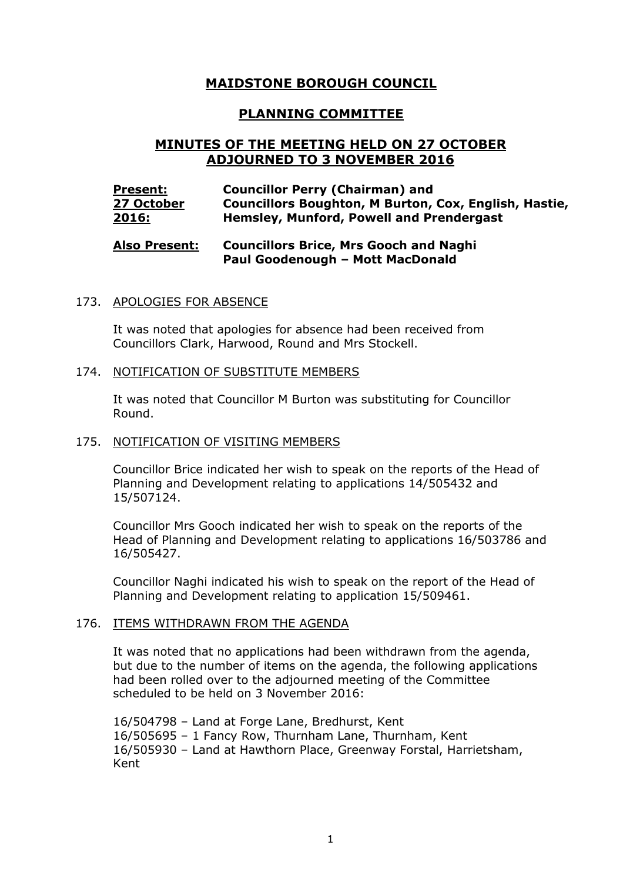# **MAIDSTONE BOROUGH COUNCIL**

# **PLANNING COMMITTEE**

# **MINUTES OF THE MEETING HELD ON 27 OCTOBER ADJOURNED TO 3 NOVEMBER 2016**

#### **Present: 27 October 2016: Councillor Perry (Chairman) and Councillors Boughton, M Burton, Cox, English, Hastie, Hemsley, Munford, Powell and Prendergast**

#### **Also Present: Councillors Brice, Mrs Gooch and Naghi Paul Goodenough – Mott MacDonald**

#### 173. APOLOGIES FOR ABSENCE

It was noted that apologies for absence had been received from Councillors Clark, Harwood, Round and Mrs Stockell.

#### 174. NOTIFICATION OF SUBSTITUTE MEMBERS

It was noted that Councillor M Burton was substituting for Councillor Round.

#### 175. NOTIFICATION OF VISITING MEMBERS

Councillor Brice indicated her wish to speak on the reports of the Head of Planning and Development relating to applications 14/505432 and 15/507124.

Councillor Mrs Gooch indicated her wish to speak on the reports of the Head of Planning and Development relating to applications 16/503786 and 16/505427.

Councillor Naghi indicated his wish to speak on the report of the Head of Planning and Development relating to application 15/509461.

## 176. ITEMS WITHDRAWN FROM THE AGENDA

It was noted that no applications had been withdrawn from the agenda, but due to the number of items on the agenda, the following applications had been rolled over to the adjourned meeting of the Committee scheduled to be held on 3 November 2016:

16/504798 – Land at Forge Lane, Bredhurst, Kent 16/505695 – 1 Fancy Row, Thurnham Lane, Thurnham, Kent 16/505930 – Land at Hawthorn Place, Greenway Forstal, Harrietsham, Kent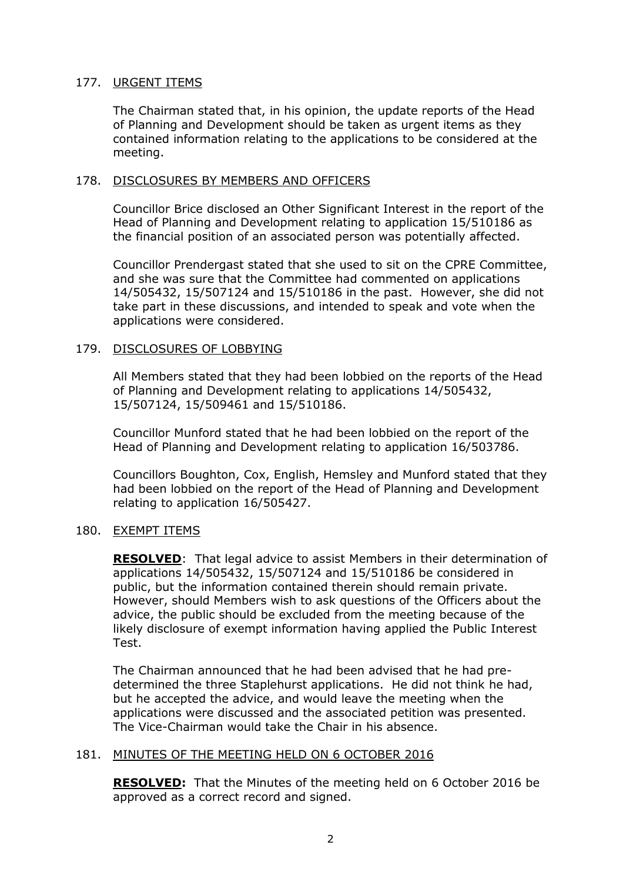# 177. URGENT ITEMS

The Chairman stated that, in his opinion, the update reports of the Head of Planning and Development should be taken as urgent items as they contained information relating to the applications to be considered at the meeting.

# 178. DISCLOSURES BY MEMBERS AND OFFICERS

Councillor Brice disclosed an Other Significant Interest in the report of the Head of Planning and Development relating to application 15/510186 as the financial position of an associated person was potentially affected.

Councillor Prendergast stated that she used to sit on the CPRE Committee, and she was sure that the Committee had commented on applications 14/505432, 15/507124 and 15/510186 in the past. However, she did not take part in these discussions, and intended to speak and vote when the applications were considered.

# 179. DISCLOSURES OF LOBBYING

All Members stated that they had been lobbied on the reports of the Head of Planning and Development relating to applications 14/505432, 15/507124, 15/509461 and 15/510186.

Councillor Munford stated that he had been lobbied on the report of the Head of Planning and Development relating to application 16/503786.

Councillors Boughton, Cox, English, Hemsley and Munford stated that they had been lobbied on the report of the Head of Planning and Development relating to application 16/505427.

## 180. EXEMPT ITEMS

**RESOLVED**: That legal advice to assist Members in their determination of applications 14/505432, 15/507124 and 15/510186 be considered in public, but the information contained therein should remain private. However, should Members wish to ask questions of the Officers about the advice, the public should be excluded from the meeting because of the likely disclosure of exempt information having applied the Public Interest Test.

The Chairman announced that he had been advised that he had predetermined the three Staplehurst applications. He did not think he had, but he accepted the advice, and would leave the meeting when the applications were discussed and the associated petition was presented. The Vice-Chairman would take the Chair in his absence.

# 181. MINUTES OF THE MEETING HELD ON 6 OCTOBER 2016

**RESOLVED:** That the Minutes of the meeting held on 6 October 2016 be approved as a correct record and signed.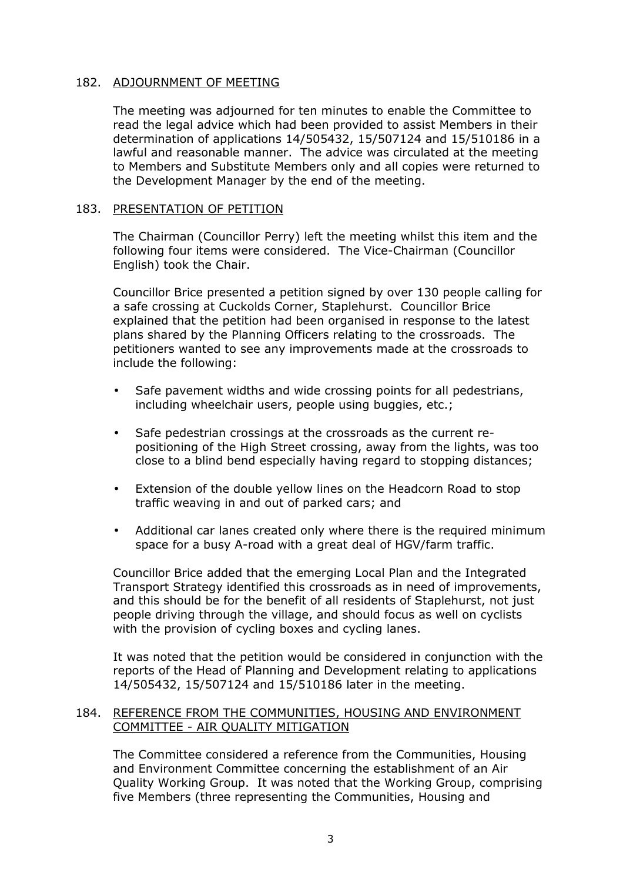## 182. ADJOURNMENT OF MEETING

The meeting was adjourned for ten minutes to enable the Committee to read the legal advice which had been provided to assist Members in their determination of applications 14/505432, 15/507124 and 15/510186 in a lawful and reasonable manner. The advice was circulated at the meeting to Members and Substitute Members only and all copies were returned to the Development Manager by the end of the meeting.

## 183. PRESENTATION OF PETITION

The Chairman (Councillor Perry) left the meeting whilst this item and the following four items were considered. The Vice-Chairman (Councillor English) took the Chair.

Councillor Brice presented a petition signed by over 130 people calling for a safe crossing at Cuckolds Corner, Staplehurst. Councillor Brice explained that the petition had been organised in response to the latest plans shared by the Planning Officers relating to the crossroads. The petitioners wanted to see any improvements made at the crossroads to include the following:

- Safe pavement widths and wide crossing points for all pedestrians, including wheelchair users, people using buggies, etc.;
- Safe pedestrian crossings at the crossroads as the current repositioning of the High Street crossing, away from the lights, was too close to a blind bend especially having regard to stopping distances;
- Extension of the double yellow lines on the Headcorn Road to stop traffic weaving in and out of parked cars; and
- Additional car lanes created only where there is the required minimum space for a busy A-road with a great deal of HGV/farm traffic.

Councillor Brice added that the emerging Local Plan and the Integrated Transport Strategy identified this crossroads as in need of improvements, and this should be for the benefit of all residents of Staplehurst, not just people driving through the village, and should focus as well on cyclists with the provision of cycling boxes and cycling lanes.

It was noted that the petition would be considered in conjunction with the reports of the Head of Planning and Development relating to applications 14/505432, 15/507124 and 15/510186 later in the meeting.

# 184. REFERENCE FROM THE COMMUNITIES, HOUSING AND ENVIRONMENT COMMITTEE - AIR QUALITY MITIGATION

The Committee considered a reference from the Communities, Housing and Environment Committee concerning the establishment of an Air Quality Working Group. It was noted that the Working Group, comprising five Members (three representing the Communities, Housing and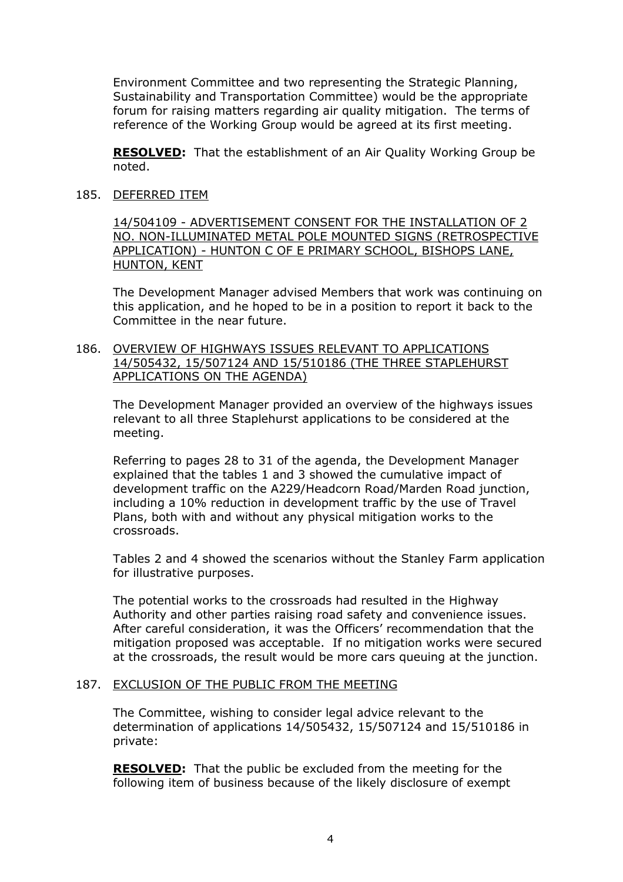Environment Committee and two representing the Strategic Planning, Sustainability and Transportation Committee) would be the appropriate forum for raising matters regarding air quality mitigation. The terms of reference of the Working Group would be agreed at its first meeting.

**RESOLVED:** That the establishment of an Air Quality Working Group be noted.

185. DEFERRED ITEM

14/504109 - ADVERTISEMENT CONSENT FOR THE INSTALLATION OF 2 NO. NON-ILLUMINATED METAL POLE MOUNTED SIGNS (RETROSPECTIVE APPLICATION) - HUNTON C OF E PRIMARY SCHOOL, BISHOPS LANE, HUNTON, KENT

The Development Manager advised Members that work was continuing on this application, and he hoped to be in a position to report it back to the Committee in the near future.

## 186. OVERVIEW OF HIGHWAYS ISSUES RELEVANT TO APPLICATIONS 14/505432, 15/507124 AND 15/510186 (THE THREE STAPLEHURST APPLICATIONS ON THE AGENDA)

The Development Manager provided an overview of the highways issues relevant to all three Staplehurst applications to be considered at the meeting.

Referring to pages 28 to 31 of the agenda, the Development Manager explained that the tables 1 and 3 showed the cumulative impact of development traffic on the A229/Headcorn Road/Marden Road junction, including a 10% reduction in development traffic by the use of Travel Plans, both with and without any physical mitigation works to the crossroads.

Tables 2 and 4 showed the scenarios without the Stanley Farm application for illustrative purposes.

The potential works to the crossroads had resulted in the Highway Authority and other parties raising road safety and convenience issues. After careful consideration, it was the Officers' recommendation that the mitigation proposed was acceptable. If no mitigation works were secured at the crossroads, the result would be more cars queuing at the junction.

# 187. EXCLUSION OF THE PUBLIC FROM THE MEETING

The Committee, wishing to consider legal advice relevant to the determination of applications 14/505432, 15/507124 and 15/510186 in private:

**RESOLVED:** That the public be excluded from the meeting for the following item of business because of the likely disclosure of exempt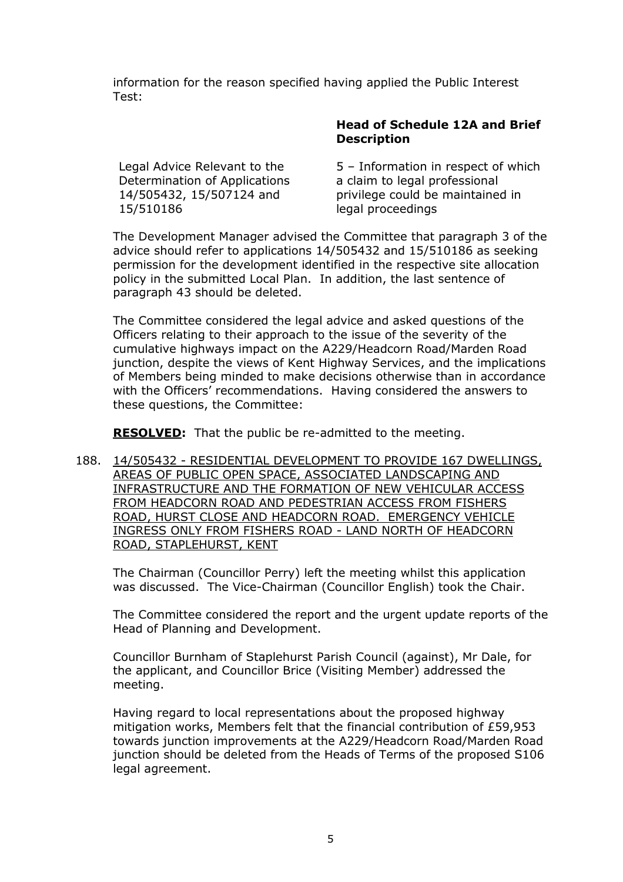information for the reason specified having applied the Public Interest Test:

Legal Advice Relevant to the Determination of Applications 14/505432, 15/507124 and 15/510186

# **Head of Schedule 12A and Brief Description**

5 – Information in respect of which a claim to legal professional privilege could be maintained in legal proceedings

The Development Manager advised the Committee that paragraph 3 of the advice should refer to applications 14/505432 and 15/510186 as seeking permission for the development identified in the respective site allocation policy in the submitted Local Plan. In addition, the last sentence of paragraph 43 should be deleted.

The Committee considered the legal advice and asked questions of the Officers relating to their approach to the issue of the severity of the cumulative highways impact on the A229/Headcorn Road/Marden Road junction, despite the views of Kent Highway Services, and the implications of Members being minded to make decisions otherwise than in accordance with the Officers' recommendations. Having considered the answers to these questions, the Committee:

**RESOLVED:** That the public be re-admitted to the meeting.

188. 14/505432 - RESIDENTIAL DEVELOPMENT TO PROVIDE 167 DWELLINGS, AREAS OF PUBLIC OPEN SPACE, ASSOCIATED LANDSCAPING AND INFRASTRUCTURE AND THE FORMATION OF NEW VEHICULAR ACCESS FROM HEADCORN ROAD AND PEDESTRIAN ACCESS FROM FISHERS ROAD, HURST CLOSE AND HEADCORN ROAD. EMERGENCY VEHICLE INGRESS ONLY FROM FISHERS ROAD - LAND NORTH OF HEADCORN ROAD, STAPLEHURST, KENT

The Chairman (Councillor Perry) left the meeting whilst this application was discussed. The Vice-Chairman (Councillor English) took the Chair.

The Committee considered the report and the urgent update reports of the Head of Planning and Development.

Councillor Burnham of Staplehurst Parish Council (against), Mr Dale, for the applicant, and Councillor Brice (Visiting Member) addressed the meeting.

Having regard to local representations about the proposed highway mitigation works, Members felt that the financial contribution of £59,953 towards junction improvements at the A229/Headcorn Road/Marden Road junction should be deleted from the Heads of Terms of the proposed S106 legal agreement.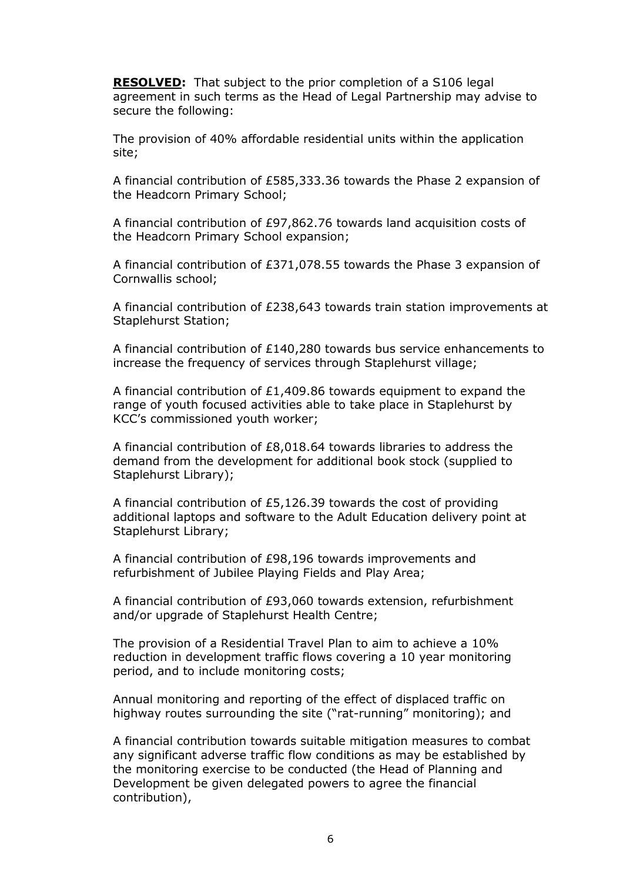**RESOLVED:** That subject to the prior completion of a S106 legal agreement in such terms as the Head of Legal Partnership may advise to secure the following:

The provision of 40% affordable residential units within the application site;

A financial contribution of £585,333.36 towards the Phase 2 expansion of the Headcorn Primary School;

A financial contribution of £97,862.76 towards land acquisition costs of the Headcorn Primary School expansion;

A financial contribution of £371,078.55 towards the Phase 3 expansion of Cornwallis school;

A financial contribution of £238,643 towards train station improvements at Staplehurst Station;

A financial contribution of £140,280 towards bus service enhancements to increase the frequency of services through Staplehurst village;

A financial contribution of £1,409.86 towards equipment to expand the range of youth focused activities able to take place in Staplehurst by KCC's commissioned youth worker;

A financial contribution of £8,018.64 towards libraries to address the demand from the development for additional book stock (supplied to Staplehurst Library);

A financial contribution of £5,126.39 towards the cost of providing additional laptops and software to the Adult Education delivery point at Staplehurst Library;

A financial contribution of £98,196 towards improvements and refurbishment of Jubilee Playing Fields and Play Area;

A financial contribution of £93,060 towards extension, refurbishment and/or upgrade of Staplehurst Health Centre;

The provision of a Residential Travel Plan to aim to achieve a 10% reduction in development traffic flows covering a 10 year monitoring period, and to include monitoring costs;

Annual monitoring and reporting of the effect of displaced traffic on highway routes surrounding the site ("rat-running" monitoring); and

A financial contribution towards suitable mitigation measures to combat any significant adverse traffic flow conditions as may be established by the monitoring exercise to be conducted (the Head of Planning and Development be given delegated powers to agree the financial contribution),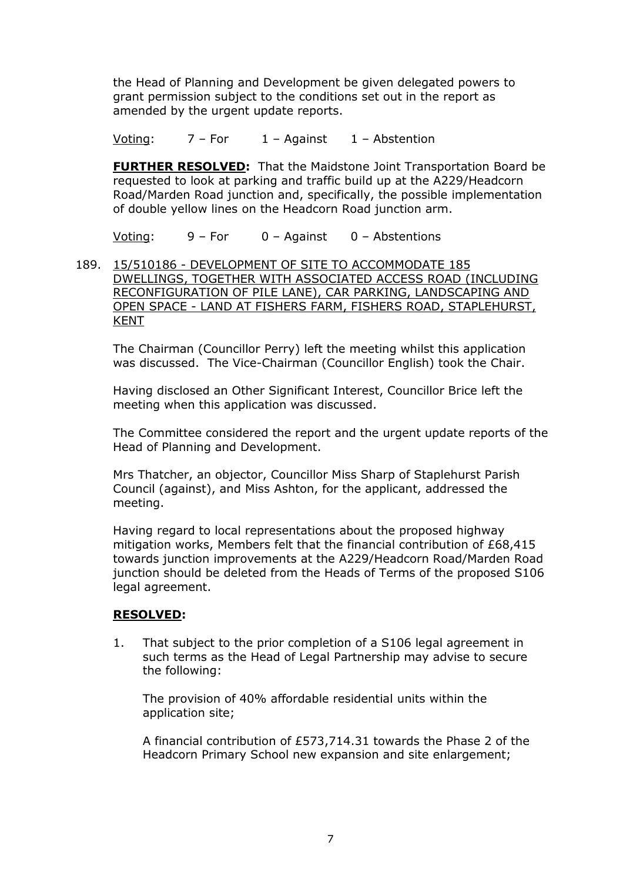the Head of Planning and Development be given delegated powers to grant permission subject to the conditions set out in the report as amended by the urgent update reports.

Voting:  $7 - For$   $1 - Against$   $1 - Abstention$ 

**FURTHER RESOLVED:** That the Maidstone Joint Transportation Board be requested to look at parking and traffic build up at the A229/Headcorn Road/Marden Road junction and, specifically, the possible implementation of double yellow lines on the Headcorn Road junction arm.

Voting: 9 – For 0 – Against 0 – Abstentions

189. 15/510186 - DEVELOPMENT OF SITE TO ACCOMMODATE 185 DWELLINGS, TOGETHER WITH ASSOCIATED ACCESS ROAD (INCLUDING RECONFIGURATION OF PILE LANE), CAR PARKING, LANDSCAPING AND OPEN SPACE - LAND AT FISHERS FARM, FISHERS ROAD, STAPLEHURST, KENT

The Chairman (Councillor Perry) left the meeting whilst this application was discussed. The Vice-Chairman (Councillor English) took the Chair.

Having disclosed an Other Significant Interest, Councillor Brice left the meeting when this application was discussed.

The Committee considered the report and the urgent update reports of the Head of Planning and Development.

Mrs Thatcher, an objector, Councillor Miss Sharp of Staplehurst Parish Council (against), and Miss Ashton, for the applicant, addressed the meeting.

Having regard to local representations about the proposed highway mitigation works, Members felt that the financial contribution of £68,415 towards junction improvements at the A229/Headcorn Road/Marden Road junction should be deleted from the Heads of Terms of the proposed S106 legal agreement.

# **RESOLVED:**

1. That subject to the prior completion of a S106 legal agreement in such terms as the Head of Legal Partnership may advise to secure the following:

The provision of 40% affordable residential units within the application site;

A financial contribution of £573,714.31 towards the Phase 2 of the Headcorn Primary School new expansion and site enlargement;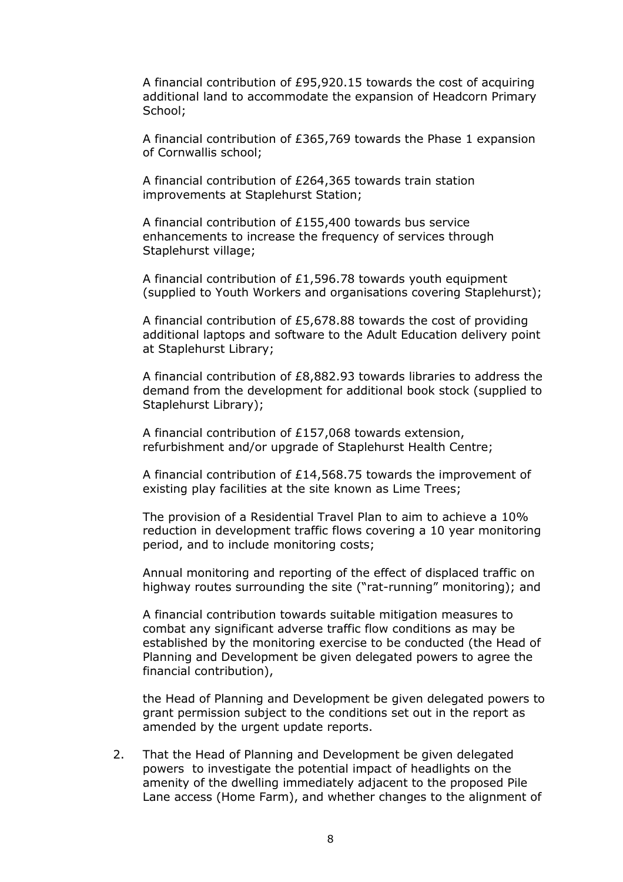A financial contribution of £95,920.15 towards the cost of acquiring additional land to accommodate the expansion of Headcorn Primary School:

A financial contribution of £365,769 towards the Phase 1 expansion of Cornwallis school;

A financial contribution of £264,365 towards train station improvements at Staplehurst Station;

A financial contribution of £155,400 towards bus service enhancements to increase the frequency of services through Staplehurst village;

A financial contribution of £1,596.78 towards youth equipment (supplied to Youth Workers and organisations covering Staplehurst);

A financial contribution of £5,678.88 towards the cost of providing additional laptops and software to the Adult Education delivery point at Staplehurst Library;

A financial contribution of £8,882.93 towards libraries to address the demand from the development for additional book stock (supplied to Staplehurst Library);

A financial contribution of £157,068 towards extension, refurbishment and/or upgrade of Staplehurst Health Centre;

A financial contribution of £14,568.75 towards the improvement of existing play facilities at the site known as Lime Trees;

The provision of a Residential Travel Plan to aim to achieve a 10% reduction in development traffic flows covering a 10 year monitoring period, and to include monitoring costs;

Annual monitoring and reporting of the effect of displaced traffic on highway routes surrounding the site ("rat-running" monitoring); and

A financial contribution towards suitable mitigation measures to combat any significant adverse traffic flow conditions as may be established by the monitoring exercise to be conducted (the Head of Planning and Development be given delegated powers to agree the financial contribution),

the Head of Planning and Development be given delegated powers to grant permission subject to the conditions set out in the report as amended by the urgent update reports.

2. That the Head of Planning and Development be given delegated powers to investigate the potential impact of headlights on the amenity of the dwelling immediately adjacent to the proposed Pile Lane access (Home Farm), and whether changes to the alignment of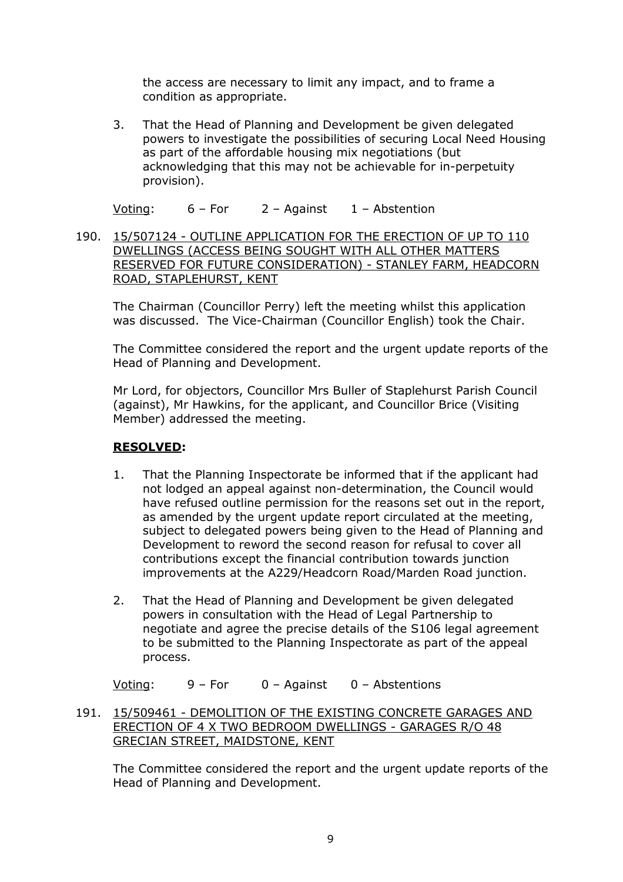the access are necessary to limit any impact, and to frame a condition as appropriate.

3. That the Head of Planning and Development be given delegated powers to investigate the possibilities of securing Local Need Housing as part of the affordable housing mix negotiations (but acknowledging that this may not be achievable for in-perpetuity provision).

Voting: 6 – For 2 – Against 1 – Abstention

190. 15/507124 - OUTLINE APPLICATION FOR THE ERECTION OF UP TO 110 DWELLINGS (ACCESS BEING SOUGHT WITH ALL OTHER MATTERS RESERVED FOR FUTURE CONSIDERATION) - STANLEY FARM, HEADCORN ROAD, STAPLEHURST, KENT

The Chairman (Councillor Perry) left the meeting whilst this application was discussed. The Vice-Chairman (Councillor English) took the Chair.

The Committee considered the report and the urgent update reports of the Head of Planning and Development.

Mr Lord, for objectors, Councillor Mrs Buller of Staplehurst Parish Council (against), Mr Hawkins, for the applicant, and Councillor Brice (Visiting Member) addressed the meeting.

# **RESOLVED:**

- 1. That the Planning Inspectorate be informed that if the applicant had not lodged an appeal against non-determination, the Council would have refused outline permission for the reasons set out in the report, as amended by the urgent update report circulated at the meeting, subject to delegated powers being given to the Head of Planning and Development to reword the second reason for refusal to cover all contributions except the financial contribution towards junction improvements at the A229/Headcorn Road/Marden Road junction.
- 2. That the Head of Planning and Development be given delegated powers in consultation with the Head of Legal Partnership to negotiate and agree the precise details of the S106 legal agreement to be submitted to the Planning Inspectorate as part of the appeal process.

Voting: 9 – For 0 – Against 0 – Abstentions

191. 15/509461 - DEMOLITION OF THE EXISTING CONCRETE GARAGES AND ERECTION OF 4 X TWO BEDROOM DWELLINGS - GARAGES R/O 48 GRECIAN STREET, MAIDSTONE, KENT

The Committee considered the report and the urgent update reports of the Head of Planning and Development.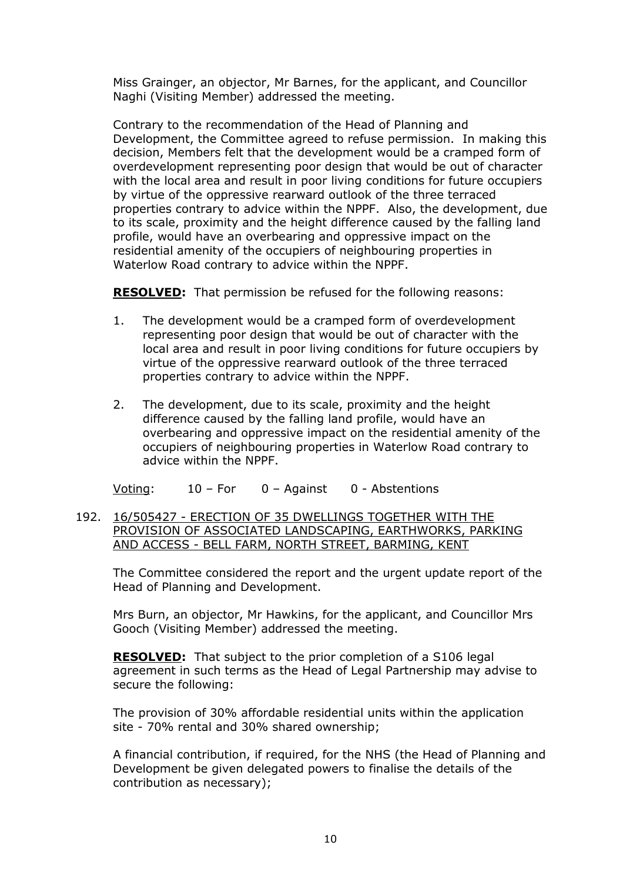Miss Grainger, an objector, Mr Barnes, for the applicant, and Councillor Naghi (Visiting Member) addressed the meeting.

Contrary to the recommendation of the Head of Planning and Development, the Committee agreed to refuse permission. In making this decision, Members felt that the development would be a cramped form of overdevelopment representing poor design that would be out of character with the local area and result in poor living conditions for future occupiers by virtue of the oppressive rearward outlook of the three terraced properties contrary to advice within the NPPF. Also, the development, due to its scale, proximity and the height difference caused by the falling land profile, would have an overbearing and oppressive impact on the residential amenity of the occupiers of neighbouring properties in Waterlow Road contrary to advice within the NPPF.

**RESOLVED:** That permission be refused for the following reasons:

- 1. The development would be a cramped form of overdevelopment representing poor design that would be out of character with the local area and result in poor living conditions for future occupiers by virtue of the oppressive rearward outlook of the three terraced properties contrary to advice within the NPPF.
- 2. The development, due to its scale, proximity and the height difference caused by the falling land profile, would have an overbearing and oppressive impact on the residential amenity of the occupiers of neighbouring properties in Waterlow Road contrary to advice within the NPPF.

Voting: 10 – For 0 – Against 0 - Abstentions

192. 16/505427 - ERECTION OF 35 DWELLINGS TOGETHER WITH THE PROVISION OF ASSOCIATED LANDSCAPING, EARTHWORKS, PARKING AND ACCESS - BELL FARM, NORTH STREET, BARMING, KENT

The Committee considered the report and the urgent update report of the Head of Planning and Development.

Mrs Burn, an objector, Mr Hawkins, for the applicant, and Councillor Mrs Gooch (Visiting Member) addressed the meeting.

**RESOLVED:** That subject to the prior completion of a S106 legal agreement in such terms as the Head of Legal Partnership may advise to secure the following:

The provision of 30% affordable residential units within the application site - 70% rental and 30% shared ownership;

A financial contribution, if required, for the NHS (the Head of Planning and Development be given delegated powers to finalise the details of the contribution as necessary);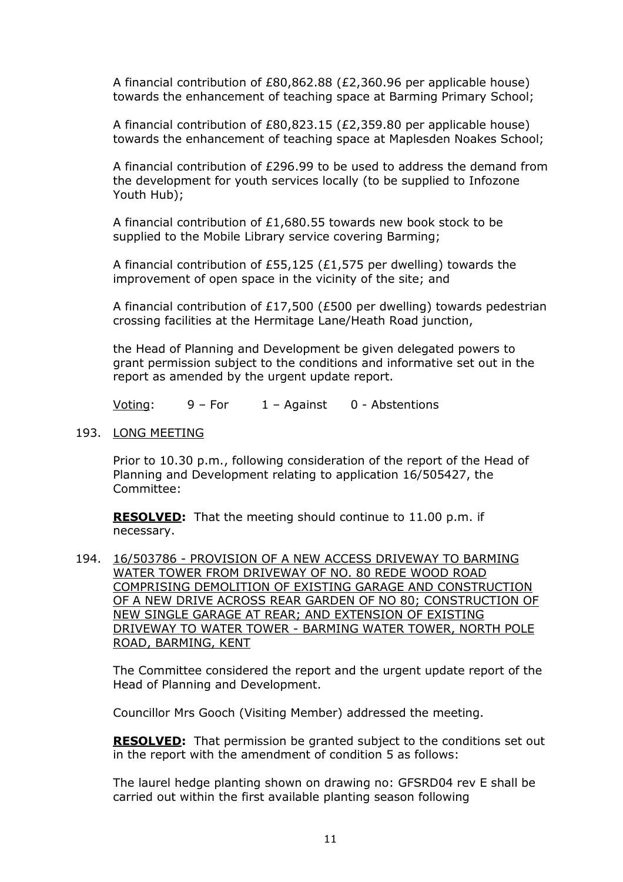A financial contribution of £80,862.88 (£2,360.96 per applicable house) towards the enhancement of teaching space at Barming Primary School;

A financial contribution of £80,823.15 (£2,359.80 per applicable house) towards the enhancement of teaching space at Maplesden Noakes School;

A financial contribution of £296.99 to be used to address the demand from the development for youth services locally (to be supplied to Infozone Youth Hub);

A financial contribution of £1,680.55 towards new book stock to be supplied to the Mobile Library service covering Barming;

A financial contribution of £55,125 (£1,575 per dwelling) towards the improvement of open space in the vicinity of the site; and

A financial contribution of £17,500 (£500 per dwelling) towards pedestrian crossing facilities at the Hermitage Lane/Heath Road junction,

the Head of Planning and Development be given delegated powers to grant permission subject to the conditions and informative set out in the report as amended by the urgent update report.

Voting:  $9 - For$   $1 - Againt$   $0 - Abst$ entions

193. LONG MEETING

Prior to 10.30 p.m., following consideration of the report of the Head of Planning and Development relating to application 16/505427, the Committee:

**RESOLVED:** That the meeting should continue to 11.00 p.m. if necessary.

194. 16/503786 - PROVISION OF A NEW ACCESS DRIVEWAY TO BARMING WATER TOWER FROM DRIVEWAY OF NO. 80 REDE WOOD ROAD COMPRISING DEMOLITION OF EXISTING GARAGE AND CONSTRUCTION OF A NEW DRIVE ACROSS REAR GARDEN OF NO 80; CONSTRUCTION OF NEW SINGLE GARAGE AT REAR; AND EXTENSION OF EXISTING DRIVEWAY TO WATER TOWER - BARMING WATER TOWER, NORTH POLE ROAD, BARMING, KENT

The Committee considered the report and the urgent update report of the Head of Planning and Development.

Councillor Mrs Gooch (Visiting Member) addressed the meeting.

**RESOLVED:** That permission be granted subject to the conditions set out in the report with the amendment of condition 5 as follows:

The laurel hedge planting shown on drawing no: GFSRD04 rev E shall be carried out within the first available planting season following